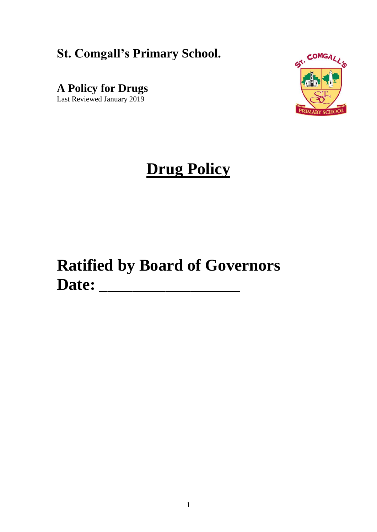## **St. Comgall's Primary School.**

**A Policy for Drugs** 

Last Reviewed January 2019



# **Drug Policy**

# **Ratified by Board of Governors Date: \_\_\_\_\_\_\_\_\_\_\_\_\_\_\_\_\_**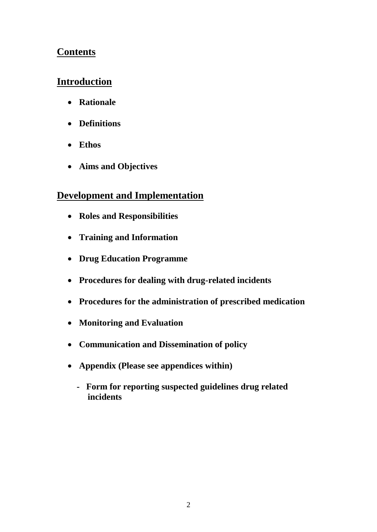### **Contents**

## **Introduction**

- **Rationale**
- **Definitions**
- **Ethos**
- **Aims and Objectives**

### **Development and Implementation**

- **Roles and Responsibilities**
- **Training and Information**
- **Drug Education Programme**
- **Procedures for dealing with drug-related incidents**
- **Procedures for the administration of prescribed medication**
- **Monitoring and Evaluation**
- **Communication and Dissemination of policy**
- **Appendix (Please see appendices within)**
	- **Form for reporting suspected guidelines drug related incidents**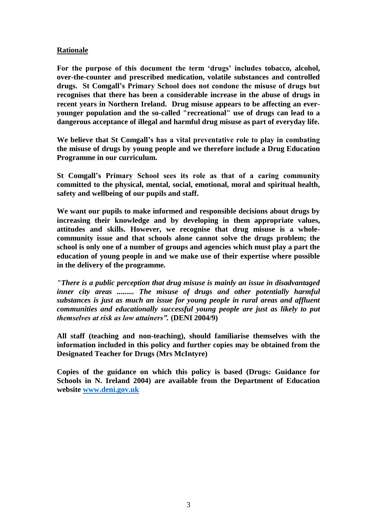#### **Rationale**

**For the purpose of this document the term 'drugs' includes tobacco, alcohol, over-the-counter and prescribed medication, volatile substances and controlled drugs. St Comgall's Primary School does not condone the misuse of drugs but recognises that there has been a considerable increase in the abuse of drugs in recent years in Northern Ireland. Drug misuse appears to be affecting an everyounger population and the so-called "recreational" use of drugs can lead to a dangerous acceptance of illegal and harmful drug misuse as part of everyday life.**

**We believe that St Comgall's has a vital preventative role to play in combating the misuse of drugs by young people and we therefore include a Drug Education Programme in our curriculum.**

**St Comgall's Primary School sees its role as that of a caring community committed to the physical, mental, social, emotional, moral and spiritual health, safety and wellbeing of our pupils and staff.** 

**We want our pupils to make informed and responsible decisions about drugs by increasing their knowledge and by developing in them appropriate values, attitudes and skills. However, we recognise that drug misuse is a wholecommunity issue and that schools alone cannot solve the drugs problem; the school is only one of a number of groups and agencies which must play a part the education of young people in and we make use of their expertise where possible in the delivery of the programme.**

*"There is a public perception that drug misuse is mainly an issue in disadvantaged inner city areas ......... The misuse of drugs and other potentially harmful substances is just as much an issue for young people in rural areas and affluent communities and educationally successful young people are just as likely to put themselves at risk as low attainers".* **(DENI 2004/9)**

**All staff (teaching and non-teaching), should familiarise themselves with the information included in this policy and further copies may be obtained from the Designated Teacher for Drugs (Mrs McIntyre)**

**Copies of the guidance on which this policy is based (Drugs: Guidance for Schools in N. Ireland 2004) are available from the Department of Education website [www.deni.gov.uk](http://www.deni.gov.uk/)**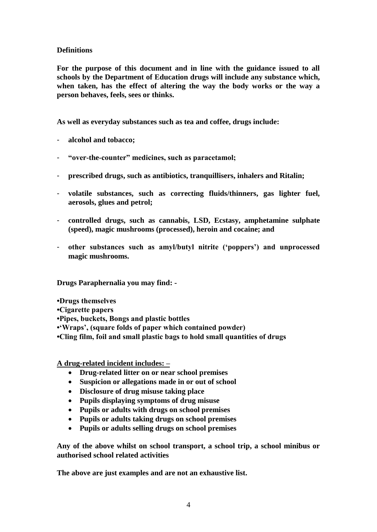#### **Definitions**

**For the purpose of this document and in line with the guidance issued to all schools by the Department of Education drugs will include any substance which, when taken, has the effect of altering the way the body works or the way a person behaves, feels, sees or thinks.** 

**As well as everyday substances such as tea and coffee, drugs include:**

- **alcohol and tobacco;**
- **"over-the-counter" medicines, such as paracetamol;**
- **prescribed drugs, such as antibiotics, tranquillisers, inhalers and Ritalin;**
- **volatile substances, such as correcting fluids/thinners, gas lighter fuel, aerosols, glues and petrol;**
- **controlled drugs, such as cannabis, LSD, Ecstasy, amphetamine sulphate (speed), magic mushrooms (processed), heroin and cocaine; and**
- **other substances such as amyl/butyl nitrite ('poppers') and unprocessed magic mushrooms.**

**Drugs Paraphernalia you may find: -**

- **•Drugs themselves**
- **•Cigarette papers**
- **•Pipes, buckets, Bongs and plastic bottles**
- **•'Wraps', (square folds of paper which contained powder)**
- **•Cling film, foil and small plastic bags to hold small quantities of drugs**

**A drug-related incident includes: –**

- **Drug-related litter on or near school premises**
- **Suspicion or allegations made in or out of school**
- **Disclosure of drug misuse taking place**
- **Pupils displaying symptoms of drug misuse**
- **Pupils or adults with drugs on school premises**
- **Pupils or adults taking drugs on school premises**
- **Pupils or adults selling drugs on school premises**

**Any of the above whilst on school transport, a school trip, a school minibus or authorised school related activities**

**The above are just examples and are not an exhaustive list.**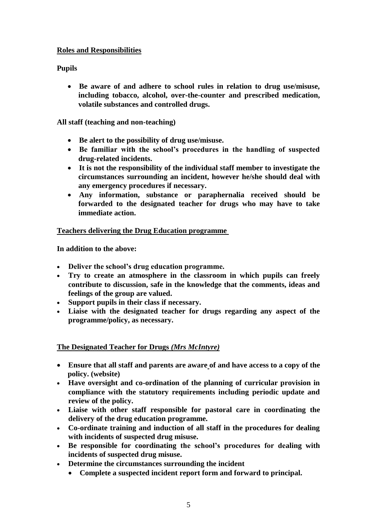#### **Roles and Responsibilities**

#### **Pupils**

 **Be aware of and adhere to school rules in relation to drug use/misuse, including tobacco, alcohol, over-the-counter and prescribed medication, volatile substances and controlled drugs.**

#### **All staff (teaching and non-teaching)**

- **Be alert to the possibility of drug use/misuse.**
- **Be familiar with the school's procedures in the handling of suspected drug-related incidents.**
- **It is not the responsibility of the individual staff member to investigate the circumstances surrounding an incident, however he/she should deal with any emergency procedures if necessary.**
- **Any information, substance or paraphernalia received should be forwarded to the designated teacher for drugs who may have to take immediate action.**

#### **Teachers delivering the Drug Education programme**

**In addition to the above:**

- **Deliver the school's drug education programme.**
- **Try to create an atmosphere in the classroom in which pupils can freely contribute to discussion, safe in the knowledge that the comments, ideas and feelings of the group are valued.**
- **Support pupils in their class if necessary.**
- **Liaise with the designated teacher for drugs regarding any aspect of the programme/policy, as necessary.**

#### **The Designated Teacher for Drugs** *(Mrs McIntyre)*

- **Ensure that all staff and parents are aware of and have access to a copy of the policy. (website)**
- **Have oversight and co-ordination of the planning of curricular provision in compliance with the statutory requirements including periodic update and review of the policy.**
- **Liaise with other staff responsible for pastoral care in coordinating the delivery of the drug education programme.**
- **Co-ordinate training and induction of all staff in the procedures for dealing with incidents of suspected drug misuse.**
- **Be responsible for coordinating the school's procedures for dealing with incidents of suspected drug misuse.**
- **Determine the circumstances surrounding the incident** 
	- **Complete a suspected incident report form and forward to principal.**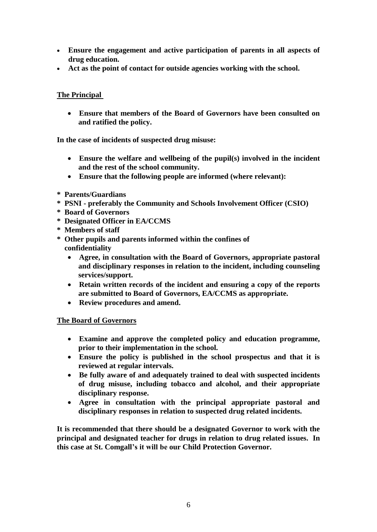- **Ensure the engagement and active participation of parents in all aspects of drug education.**
- **Act as the point of contact for outside agencies working with the school.**

#### **The Principal**

 **Ensure that members of the Board of Governors have been consulted on and ratified the policy.**

**In the case of incidents of suspected drug misuse:**

- **Ensure the welfare and wellbeing of the pupil(s) involved in the incident and the rest of the school community.**
- **Ensure that the following people are informed (where relevant):**
- **\* Parents/Guardians**
- **\* PSNI - preferably the Community and Schools Involvement Officer (CSIO)**
- **\* Board of Governors**
- **\* Designated Officer in EA/CCMS**
- **\* Members of staff**
- **\* Other pupils and parents informed within the confines of confidentiality**
	- **Agree, in consultation with the Board of Governors, appropriate pastoral and disciplinary responses in relation to the incident, including counseling services/support.**
	- **Retain written records of the incident and ensuring a copy of the reports are submitted to Board of Governors, EA/CCMS as appropriate.**
	- **Review procedures and amend.**

#### **The Board of Governors**

- **Examine and approve the completed policy and education programme, prior to their implementation in the school.**
- **Ensure the policy is published in the school prospectus and that it is reviewed at regular intervals.**
- **Be fully aware of and adequately trained to deal with suspected incidents of drug misuse, including tobacco and alcohol, and their appropriate disciplinary response.**
- **Agree in consultation with the principal appropriate pastoral and disciplinary responses in relation to suspected drug related incidents.**

**It is recommended that there should be a designated Governor to work with the principal and designated teacher for drugs in relation to drug related issues. In this case at St. Comgall's it will be our Child Protection Governor.**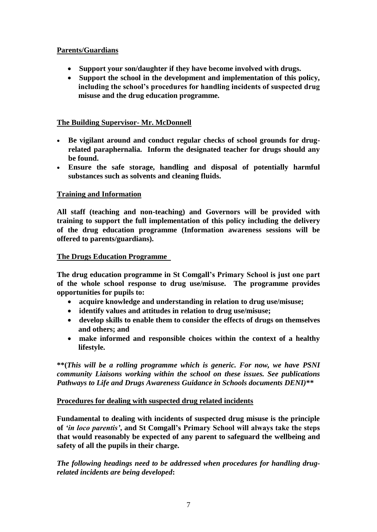#### **Parents/Guardians**

- **Support your son/daughter if they have become involved with drugs.**
- **Support the school in the development and implementation of this policy, including the school's procedures for handling incidents of suspected drug misuse and the drug education programme.**

#### **The Building Supervisor- Mr. McDonnell**

- **Be vigilant around and conduct regular checks of school grounds for drugrelated paraphernalia. Inform the designated teacher for drugs should any be found.**
- **Ensure the safe storage, handling and disposal of potentially harmful substances such as solvents and cleaning fluids.**

#### **Training and Information**

**All staff (teaching and non-teaching) and Governors will be provided with training to support the full implementation of this policy including the delivery of the drug education programme (Information awareness sessions will be offered to parents/guardians).**

#### **The Drugs Education Programme**

**The drug education programme in St Comgall's Primary School is just one part of the whole school response to drug use/misuse. The programme provides opportunities for pupils to:**

- **acquire knowledge and understanding in relation to drug use/misuse;**
- **identify values and attitudes in relation to drug use/misuse;**
- **develop skills to enable them to consider the effects of drugs on themselves and others; and**
- **make informed and responsible choices within the context of a healthy lifestyle.**

**\*\*(***This will be a rolling programme which is generic. For now, we have PSNI community Liaisons working within the school on these issues. See publications Pathways to Life and Drugs Awareness Guidance in Schools documents DENI)***\*\***

#### **Procedures for dealing with suspected drug related incidents**

**Fundamental to dealing with incidents of suspected drug misuse is the principle of** *'in loco parentis'***, and St Comgall's Primary School will always take the steps that would reasonably be expected of any parent to safeguard the wellbeing and safety of all the pupils in their charge.**

*The following headings need to be addressed when procedures for handling drugrelated incidents are being developed***:**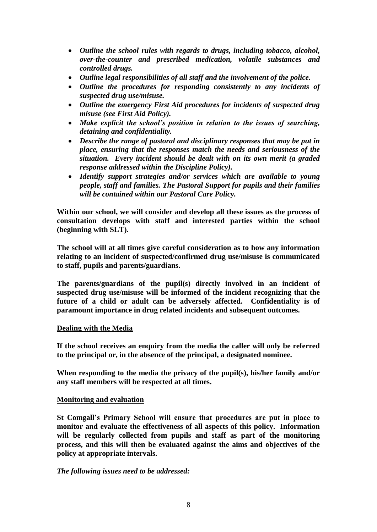- *Outline the school rules with regards to drugs, including tobacco, alcohol, over-the-counter and prescribed medication, volatile substances and controlled drugs.*
- *Outline legal responsibilities of all staff and the involvement of the police.*
- *Outline the procedures for responding consistently to any incidents of suspected drug use/misuse.*
- *Outline the emergency First Aid procedures for incidents of suspected drug misuse (see First Aid Policy).*
- *Make explicit the school's position in relation to the issues of searching, detaining and confidentiality.*
- *Describe the range of pastoral and disciplinary responses that may be put in place, ensuring that the responses match the needs and seriousness of the situation. Every incident should be dealt with on its own merit (a graded response addressed within the Discipline Policy).*
- *Identify support strategies and/or services which are available to young people, staff and families. The Pastoral Support for pupils and their families will be contained within our Pastoral Care Policy.*

**Within our school, we will consider and develop all these issues as the process of consultation develops with staff and interested parties within the school (beginning with SLT).**

**The school will at all times give careful consideration as to how any information relating to an incident of suspected/confirmed drug use/misuse is communicated to staff, pupils and parents/guardians.** 

**The parents/guardians of the pupil(s) directly involved in an incident of suspected drug use/misuse will be informed of the incident recognizing that the future of a child or adult can be adversely affected. Confidentiality is of paramount importance in drug related incidents and subsequent outcomes.**

#### **Dealing with the Media**

**If the school receives an enquiry from the media the caller will only be referred to the principal or, in the absence of the principal, a designated nominee.**

**When responding to the media the privacy of the pupil(s), his/her family and/or any staff members will be respected at all times.**

#### **Monitoring and evaluation**

**St Comgall's Primary School will ensure that procedures are put in place to monitor and evaluate the effectiveness of all aspects of this policy. Information will be regularly collected from pupils and staff as part of the monitoring process, and this will then be evaluated against the aims and objectives of the policy at appropriate intervals.** 

#### *The following issues need to be addressed:*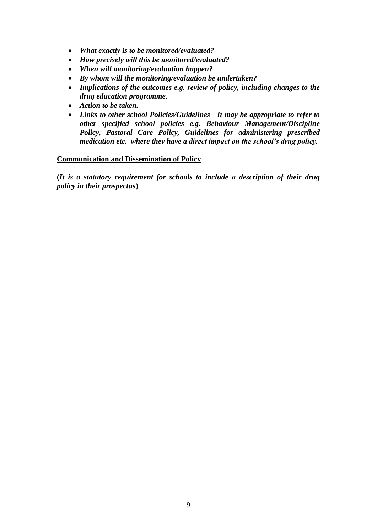- *What exactly is to be monitored/evaluated?*
- *How precisely will this be monitored/evaluated?*
- *When will monitoring/evaluation happen?*
- *By whom will the monitoring/evaluation be undertaken?*
- *Implications of the outcomes e.g. review of policy, including changes to the drug education programme.*
- *Action to be taken.*
- *Links to other school Policies/Guidelines It may be appropriate to refer to other specified school policies e.g. Behaviour Management/Discipline Policy, Pastoral Care Policy, Guidelines for administering prescribed medication etc. where they have a direct impact on the school's drug policy.*

#### **Communication and Dissemination of Policy**

**(***It is a statutory requirement for schools to include a description of their drug policy in their prospectus***)**